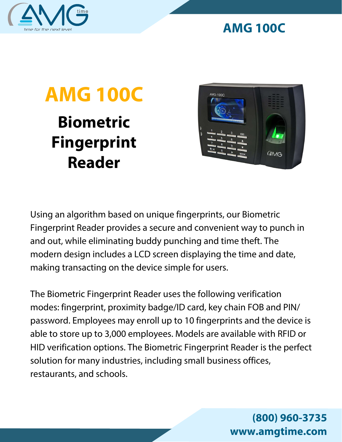

## **AMG 100C**

## **Biometric Fingerprint Reader AMG 100C**



Using an algorithm based on unique fingerprints, our Biometric Fingerprint Reader provides a secure and convenient way to punch in and out, while eliminating buddy punching and time theft. The modern design includes a LCD screen displaying the time and date, making transacting on the device simple for users.

The Biometric Fingerprint Reader uses the following verification modes: fingerprint, proximity badge/ID card, key chain FOB and PIN/ password. Employees may enroll up to 10 fingerprints and the device is able to store up to 3,000 employees. Models are available with RFID or HID verification options. The Biometric Fingerprint Reader is the perfect solution for many industries, including small business offices, restaurants, and schools.

> **(800) 960-3735 www.amgtime.com**